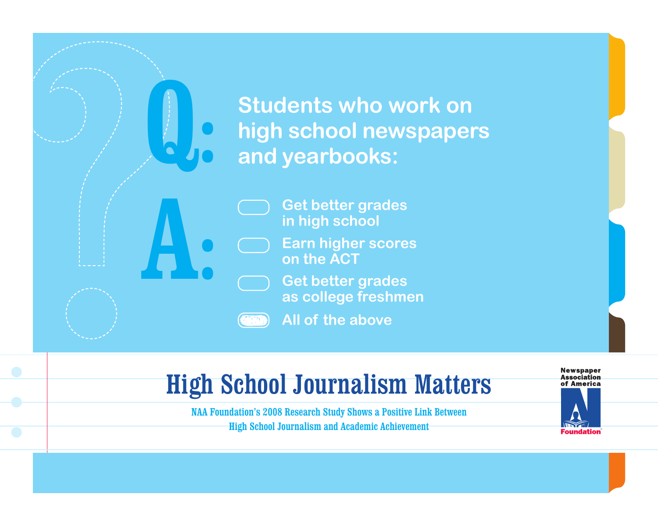**Students who work on high school newspapers and yearbooks:**

> **Get better grades in high school**

**Earn higher scores on the ACT**

**Get better grades as college freshmen**

**COND All of the above**

A:

Q.

## High School Journalism Matters

NAA Foundation's 2008 Research Study Shows a Positive Link Between High School Journalism and Academic Achievement

**Newspaper Association** of America

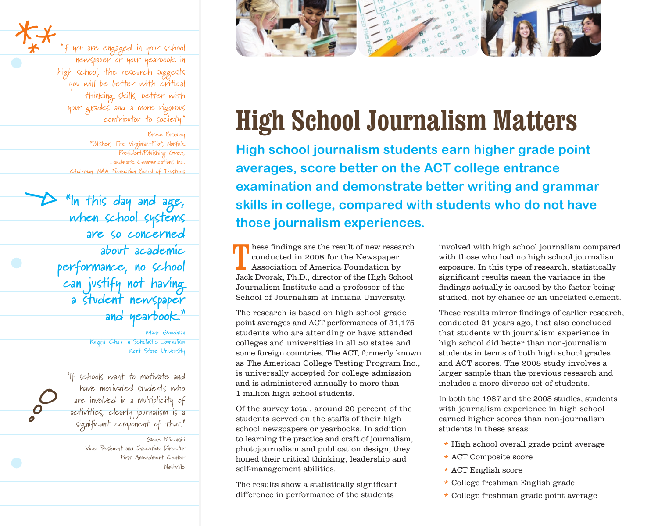"If you are engaged in your school newspaper or your yearbook in high school, the research suggests you will be better with critical thinking skills, better with your grades and a more rigorous contributor to society."

Bruce Bradley Publisher, The Virginian-Pilot, Norfolk President/Publishing Group, Landmark Communications Inc. Chairman, NAA Foundation Board of Trustees

**Í**

**°o O**

\*

\***\***

**"In this day and age, when school systems are so concerned about academic performance, no school can justify not having a student newspaper and yearbook."**

> Mark Goodman Knight Chair in Scholastic Journalism Kent State University

"If schools want to motivate and have motivated students who are involved in a multiplicity of activities, clearly journalism is a significant component of that."

> Gene Policinski Vice President and Executive Director First Amendment Center Nashville



## **High School Journalism Matters**

**High school journalism students earn higher grade point averages, score better on the ACT college entrance examination and demonstrate better writing and grammar skills in college, compared with students who do not have those journalism experiences.**

These findings are the result of new research<br>conducted in 2008 for the Newspaper<br>Association of America Foundation by<br>Jack Dvorak, Ph.D., director of the High School hese findings are the result of new research conducted in 2008 for the Newspaper Association of America Foundation by Journalism Institute and a professor of the School of Journalism at Indiana University.

The research is based on high school grade point averages and ACT performances of 31,175 students who are attending or have attended colleges and universities in all 50 states and some foreign countries. The ACT, formerly known as The American College Testing Program Inc., is universally accepted for college admission and is administered annually to more than 1 million high school students.

Of the survey total, around 20 percent of the students served on the staffs of their high school newspapers or yearbooks. In addition to learning the practice and craft of journalism, photojournalism and publication design, they honed their critical thinking, leadership and self-management abilities.

The results show a statistically significant difference in performance of the students

involved with high school journalism compared with those who had no high school journalism exposure. In this type of research, statistically significant results mean the variance in the findings actually is caused by the factor being studied, not by chance or an unrelated element.

These results mirror findings of earlier research, conducted 21 years ago, that also concluded that students with journalism experience in high school did better than non-journalism students in terms of both high school grades and ACT scores. The 2008 study involves a larger sample than the previous research and includes a more diverse set of students.

In both the 1987 and the 2008 studies, students with journalism experience in high school earned higher scores than non-journalism students in these areas:

- **\*** High school overall grade point average
- **\*** ACT Composite score
- **\*** ACT English score
- **\*** College freshman English grade
- **\*** College freshman grade point average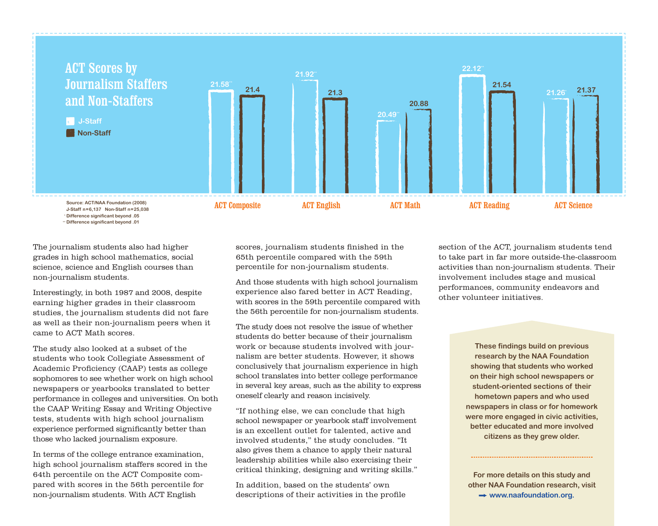

**<sup>\*</sup> Difference significant beyond .05 \*\* Difference significant beyond .01**

The journalism students also had higher grades in high school mathematics, social science, science and English courses than non-journalism students.

Interestingly, in both 1987 and 2008, despite earning higher grades in their classroom studies, the journalism students did not fare as well as their non-journalism peers when it came to ACT Math scores.

The study also looked at a subset of the students who took Collegiate Assessment of Academic Proficiency (CAAP) tests as college sophomores to see whether work on high school newspapers or yearbooks translated to better performance in colleges and universities. On both the CAAP Writing Essay and Writing Objective tests, students with high school journalism experience performed significantly better than those who lacked journalism exposure.

In terms of the college entrance examination, high school journalism staffers scored in the 64th percentile on the ACT Composite compared with scores in the 56th percentile for non-journalism students. With ACT English

scores, journalism students finished in the 65th percentile compared with the 59th percentile for non-journalism students.

And those students with high school journalism experience also fared better in ACT Reading, with scores in the 59th percentile compared with the 56th percentile for non-journalism students.

The study does not resolve the issue of whether students do better because of their journalism work or because students involved with journalism are better students. However, it shows conclusively that journalism experience in high school translates into better college performance in several key areas, such as the ability to express oneself clearly and reason incisively.

"If nothing else, we can conclude that high school newspaper or yearbook staff involvement is an excellent outlet for talented, active and involved students," the study concludes. "It also gives them a chance to apply their natural leadership abilities while also exercising their critical thinking, designing and writing skills."

In addition, based on the students' own descriptions of their activities in the profile section of the ACT, journalism students tend to take part in far more outside-the-classroom activities than non-journalism students. Their involvement includes stage and musical performances, community endeavors and other volunteer initiatives.

> **These findings build on previous research by the NAA Foundation showing that students who worked on their high school newspapers or student-oriented sections of their hometown papers and who used newspapers in class or for homework were more engaged in civic activities, better educated and more involved citizens as they grew older.**

**For more details on this study and other NAA Foundation research, visit → www.naafoundation.org.**